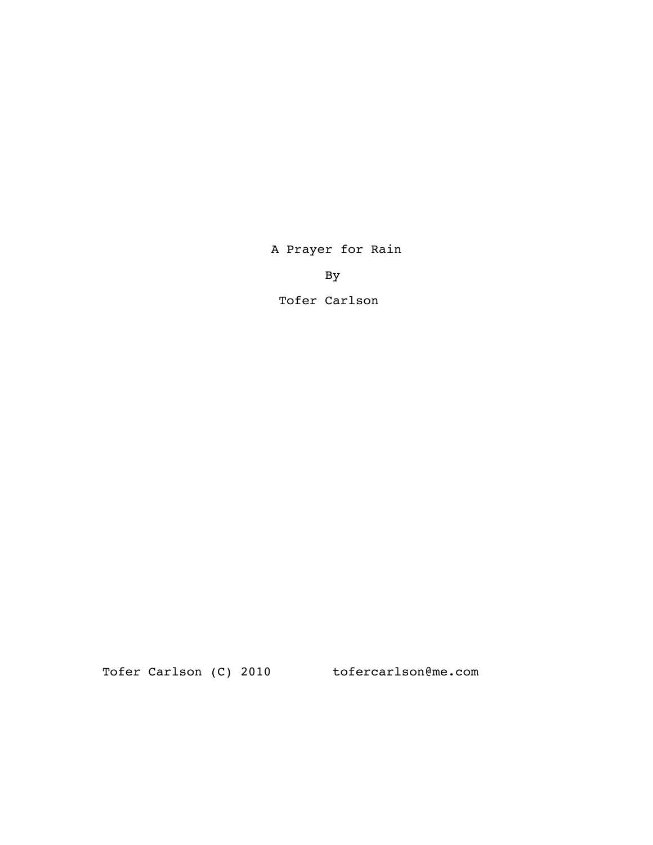A Prayer for Rain

By

Tofer Carlson

Tofer Carlson (C) 2010 tofercarlson@me.com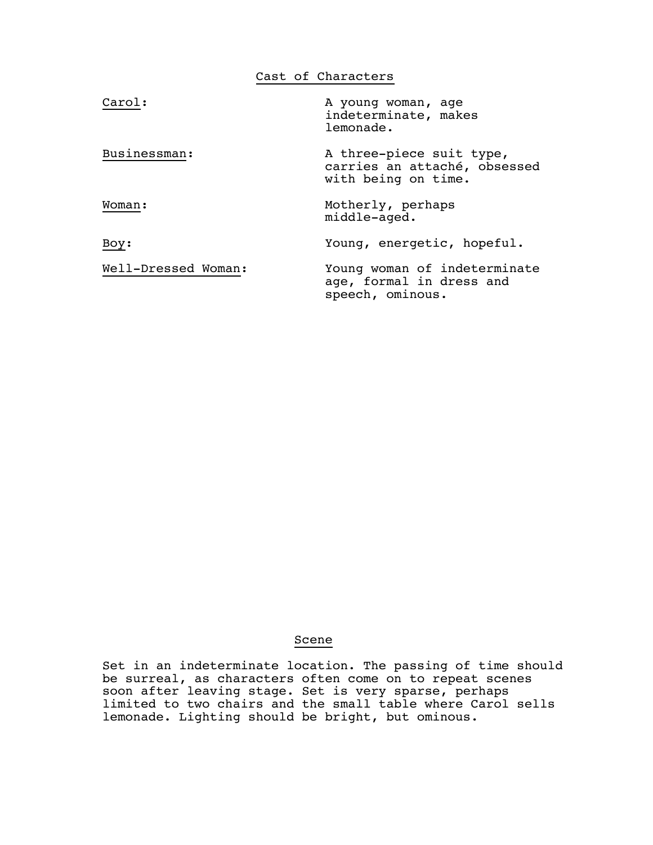|                     | Cast of Characters                                                              |
|---------------------|---------------------------------------------------------------------------------|
| Carol:              | A young woman, age<br>indeterminate, makes<br>lemonade.                         |
| Businessman:        | A three-piece suit type,<br>carries an attaché, obsessed<br>with being on time. |
| Woman:              | Motherly, perhaps<br>middle-aged.                                               |
| Boy:                | Young, energetic, hopeful.                                                      |
| Well-Dressed Woman: | Young woman of indeterminate<br>age, formal in dress and<br>speech, ominous.    |

# Scene

 Set in an indeterminate location. The passing of time should be surreal, as characters often come on to repeat scenes soon after leaving stage. Set is very sparse, perhaps limited to two chairs and the small table where Carol sells lemonade. Lighting should be bright, but ominous.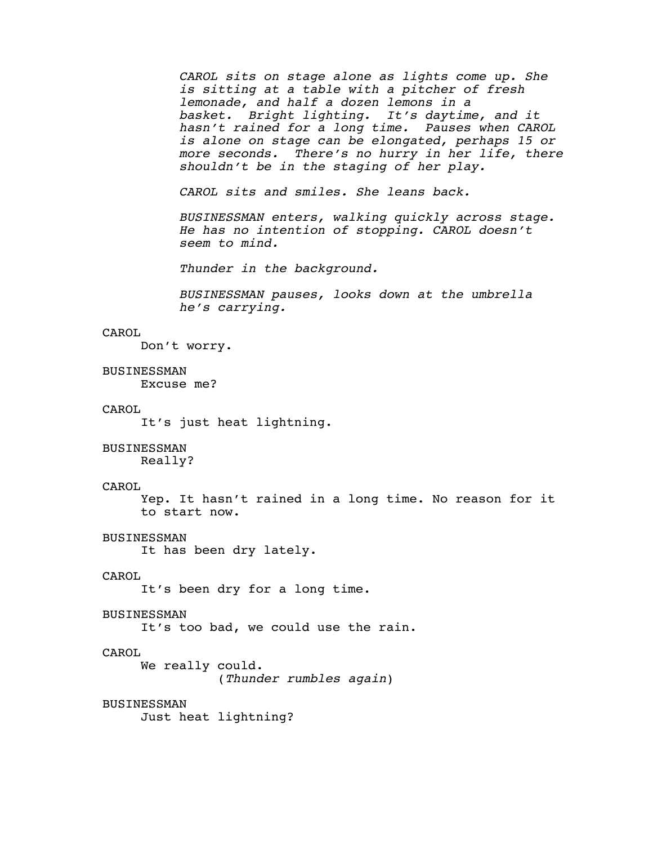CAROL sits on stage alone as lights come up. She<br>is sitting at a table with a pitcher of fresh<br>lemonade, and half a dozen lemons in a<br>basket. Bright lighting. It's daytime, and it<br>hasn't rained for a long time. Pauses when

*CAROL sits and smiles. She leans back.*

*BUSINESSMAN enters, walking quickly across stage. He has no intention of stopping. CAROL doesn't seem to mind.*

*Thunder in the background.*

*BUSINESSMAN pauses, looks down at the umbrella he's carrying.*

# CAROL

Don't worry.

#### BUSINESSMAN

Excuse me?

#### CAROL

It's just heat lightning.

#### BUSINESSMAN

Really?

### CAROL

 Yep. It hasn't rained in a long time. No reason for it to start now.

#### BUSINESSMAN

It has been dry lately.

#### CAROL

It's been dry for a long time.

#### BUSINESSMAN

It's too bad, we could use the rain.

#### CAROL

 We really could. (*Thunder rumbles again*)

# BUSINESSMAN

Just heat lightning?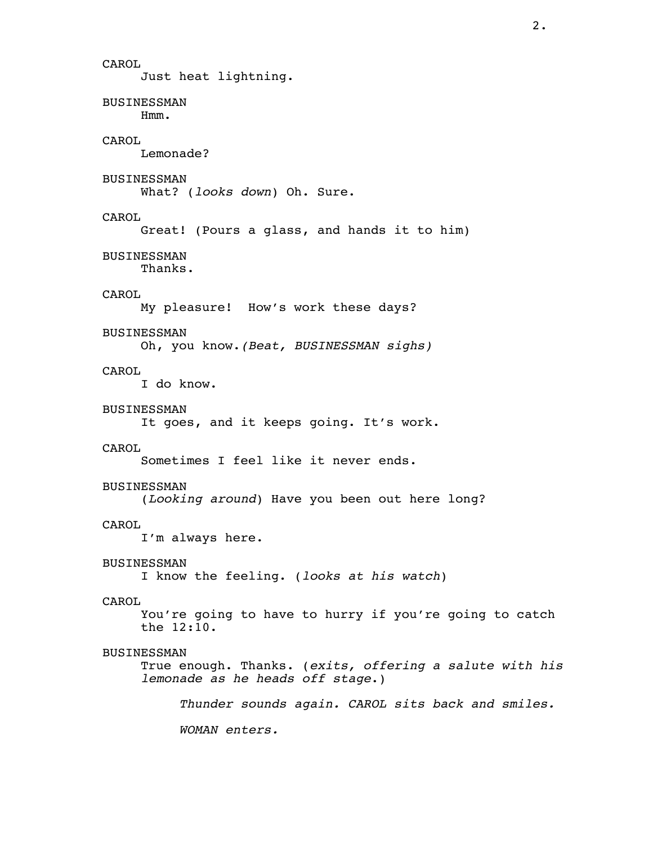CAROL Just heat lightning. BUSINESSMAN Hmm. CAROL Lemonade? BUSINESSMAN What? (*looks down*) Oh. Sure. CAROL Great! (Pours a glass, and hands it to him) BUSINESSMAN Thanks. CAROL My pleasure! How's work these days? BUSINESSMAN Oh, you know.*(Beat, BUSINESSMAN sighs)* CAROL I do know. BUSINESSMAN It goes, and it keeps going. It's work. CAROL Sometimes I feel like it never ends. BUSINESSMAN (*Looking around*) Have you been out here long? CAROL I'm always here. BUSINESSMAN I know the feeling. (*looks at his watch*) CAROL You're going to have to hurry if you're going to catch the 12:10. BUSINESSMAN True enough. Thanks. (*exits, offering a salute with his lemonade as he heads off stage*.) *Thunder sounds again. CAROL sits back and smiles. WOMAN enters.*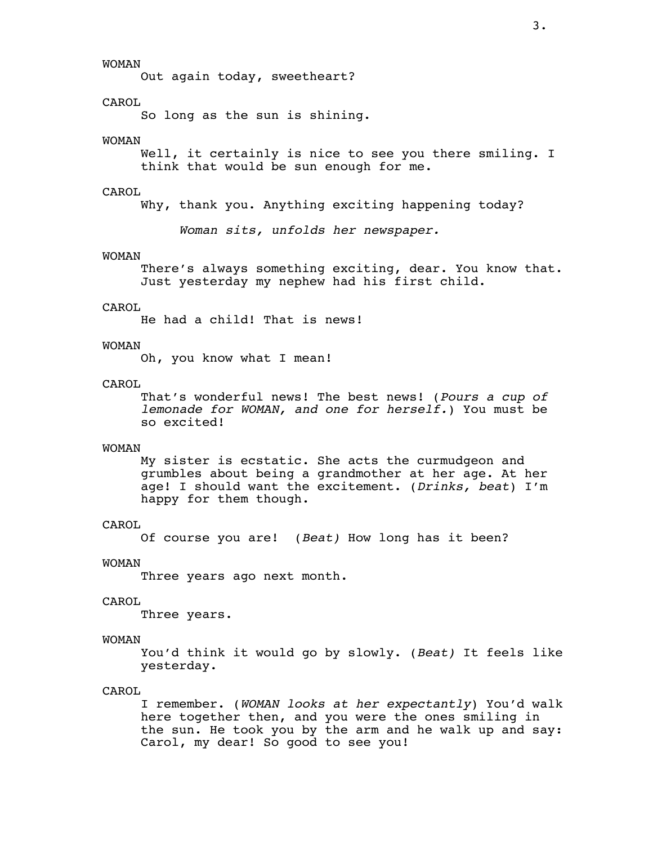WOMAN

Out again today, sweetheart?

# CAROL

So long as the sun is shining.

#### WOMAN

Well, it certainly is nice to see you there smiling. I think that would be sun enough for me.

### CAROL

Why, thank you. Anything exciting happening today?

*Woman sits, unfolds her newspaper.*

#### WOMAN

 There's always something exciting, dear. You know that. Just yesterday my nephew had his first child.

# CAROL

He had a child! That is news!

#### WOMAN

Oh, you know what I mean!

#### CAROL

 That's wonderful news! The best news! (*Pours a cup of lemonade for WOMAN, and one for herself.*) You must be so excited!

### WOMAN

 My sister is ecstatic. She acts the curmudgeon and grumbles about being a grandmother at her age. At her age! I should want the excitement. (*Drinks, beat*) I'm happy for them though.

#### CAROL

Of course you are! (*Beat)* How long has it been?

#### WOMAN

Three years ago next month.

#### CAROL

Three years.

#### WOMAN

 You'd think it would go by slowly. (*Beat)* It feels like yesterday.

# CAROL

 I remember. (*WOMAN looks at her expectantly*) You'd walk here together then, and you were the ones smiling in the sun. He took you by the arm and he walk up and say: Carol, my dear! So good to see you!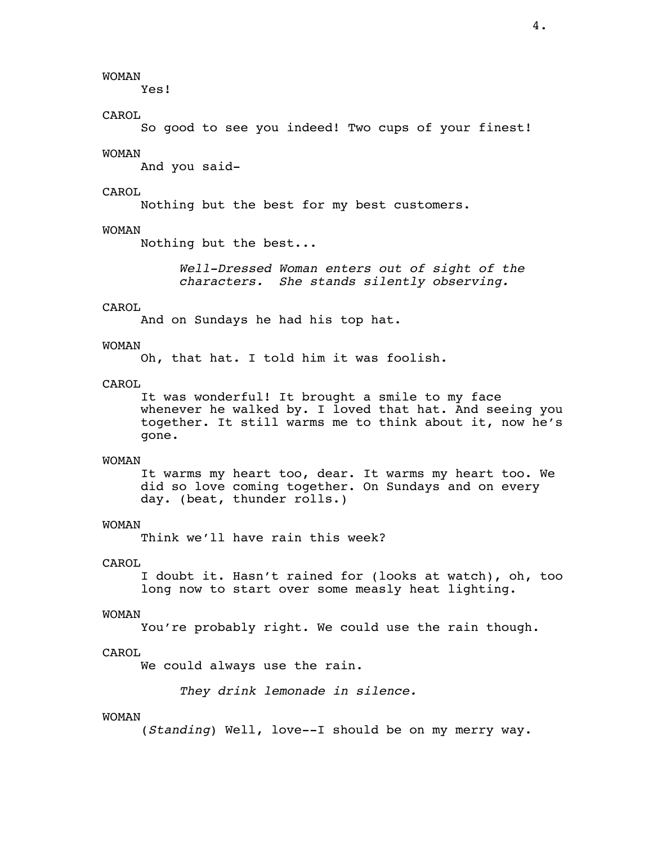WOMAN

Yes!

CAROL

So good to see you indeed! Two cups of your finest!

# WOMAN

And you said-

# CAROL

Nothing but the best for my best customers.

#### WOMAN

Nothing but the best...

*Well-Dressed Woman enters out of sight of the characters. She stands silently observing.*

# CAROL

And on Sundays he had his top hat.

#### WOMAN

Oh, that hat. I told him it was foolish.

### CAROL

 It was wonderful! It brought a smile to my face whenever he walked by. I loved that hat. And seeing you together. It still warms me to think about it, now he's gone.

#### WOMAN

 It warms my heart too, dear. It warms my heart too. We did so love coming together. On Sundays and on every day. (beat, thunder rolls.)

# WOMAN

Think we'll have rain this week?

#### CAROL

 I doubt it. Hasn't rained for (looks at watch), oh, too long now to start over some measly heat lighting.

#### WOMAN

You're probably right. We could use the rain though.

#### CAROL

We could always use the rain.

*They drink lemonade in silence.*

#### WOMAN

(*Standing*) Well, love--I should be on my merry way.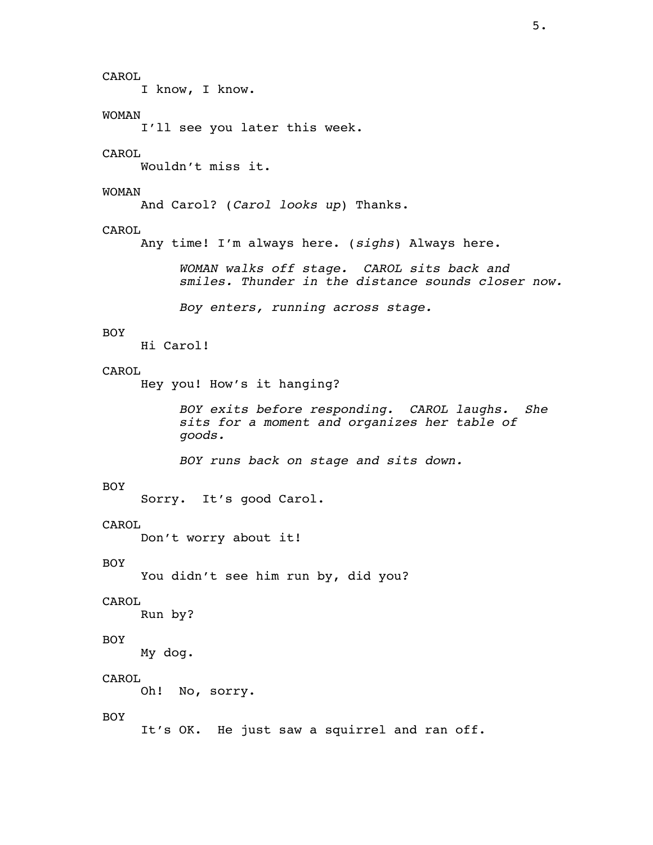CAROL I know, I know. WOMAN I'll see you later this week. CAROL Wouldn't miss it. WOMAN And Carol? (*Carol looks up*) Thanks. CAROL Any time! I'm always here. (*sighs*) Always here. *WOMAN walks off stage. CAROL sits back and smiles. Thunder in the distance sounds closer now. Boy enters, running across stage.* BOY Hi Carol! CAROL Hey you! How's it hanging? *BOY exits before responding. CAROL laughs. She sits for a moment and organizes her table of goods. BOY runs back on stage and sits down.* BOY Sorry. It's good Carol. CAROL Don't worry about it! BOY You didn't see him run by, did you? CAROL Run by? BOY My dog. CAROL Oh! No, sorry. BOY It's OK. He just saw a squirrel and ran off.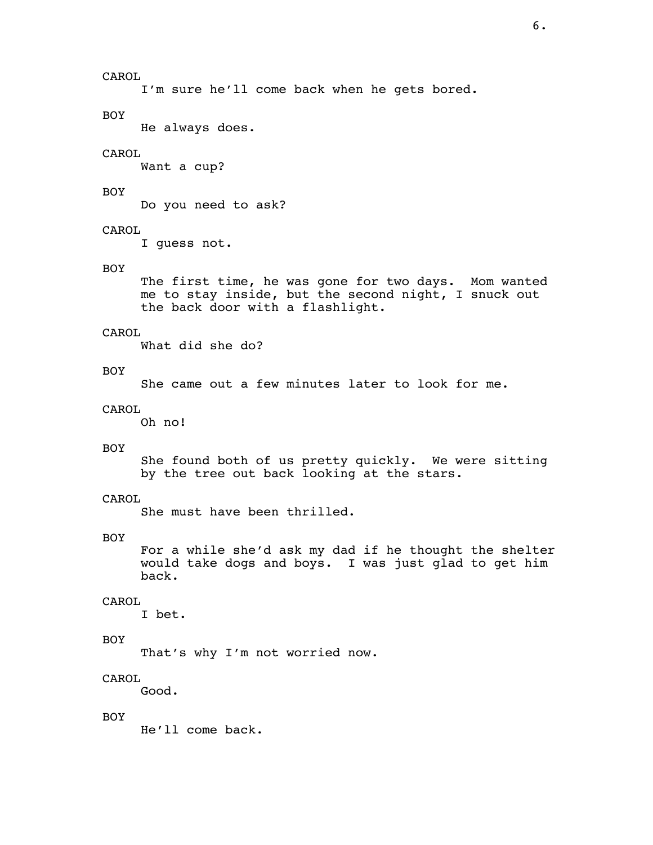I'm sure he'll come back when he gets bored.

BOY

He always does.

# CAROL

Want a cup?

# BOY

Do you need to ask?

# CAROL

I guess not.

# BOY

 The first time, he was gone for two days. Mom wanted me to stay inside, but the second night, I snuck out the back door with a flashlight.

#### CAROL

What did she do?

### BOY

She came out a few minutes later to look for me.

# CAROL

Oh no!

# BOY

 She found both of us pretty quickly. We were sitting by the tree out back looking at the stars.

# CAROL

She must have been thrilled.

# BOY

 For a while she'd ask my dad if he thought the shelter would take dogs and boys. I was just glad to get him back.

# CAROL

I bet.

# BOY

That's why I'm not worried now.

# CAROL

Good.

# BOY

He'll come back.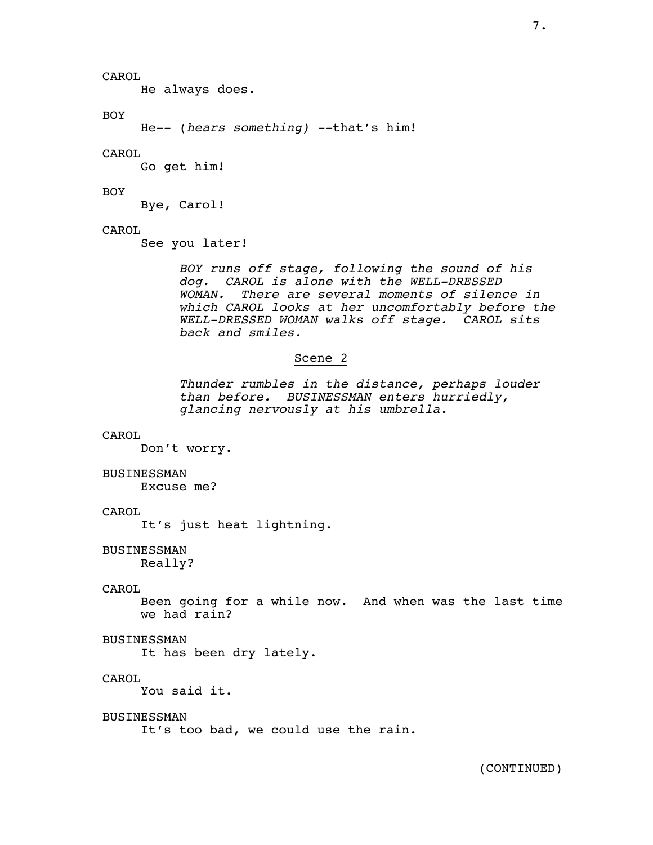He always does.

### BOY

He-- (*hears something) --*that's him!

# CAROL

Go get him!

# BOY

Bye, Carol!

# CAROL

See you later!

BOY runs off stage, following the sound of his<br>dog. CAROL is alone with the WELL-DRESSED<br>WOMAN. There are several moments of silence in<br>which CAROL looks at her uncomfortably before the<br>WELL-DRESSED WOMAN walks off stage.

# Scene 2

*Thunder rumbles in the distance, perhaps louder than before. BUSINESSMAN enters hurriedly, glancing nervously at his umbrella.*

# CAROL

Don't worry.

### BUSINESSMAN

Excuse me?

# CAROL

It's just heat lightning.

# BUSINESSMAN

Really?

# CAROL

 Been going for a while now. And when was the last time we had rain?

# BUSINESSMAN

It has been dry lately.

# CAROL

You said it.

#### BUSINESSMAN

It's too bad, we could use the rain.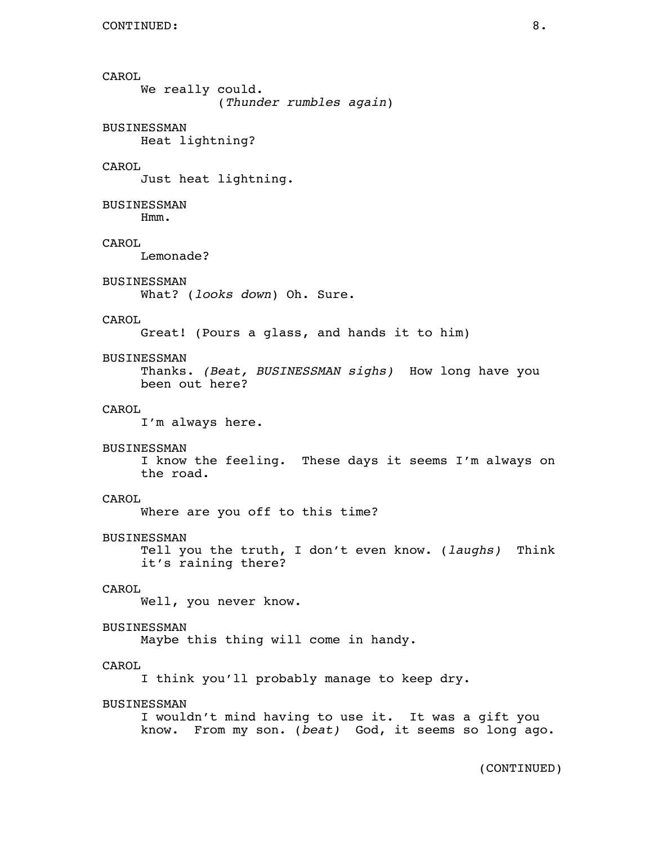CAROL We really could. (*Thunder rumbles again*) BUSINESSMAN Heat lightning? CAROL Just heat lightning. BUSINESSMAN Hmm. CAROL Lemonade? BUSINESSMAN What? (*looks down*) Oh. Sure. CAROL Great! (Pours a glass, and hands it to him) BUSINESSMAN Thanks. *(Beat, BUSINESSMAN sighs)* How long have you been out here? CAROL I'm always here. BUSINESSMAN I know the feeling. These days it seems I'm always on the road. CAROL Where are you off to this time? BUSINESSMAN Tell you the truth, I don't even know. (*laughs)* Think it's raining there? CAROL Well, you never know. BUSINESSMAN Maybe this thing will come in handy. CAROL I think you'll probably manage to keep dry. BUSINESSMAN I wouldn't mind having to use it. It was a gift you know. From my son. (*beat)* God, it seems so long ago.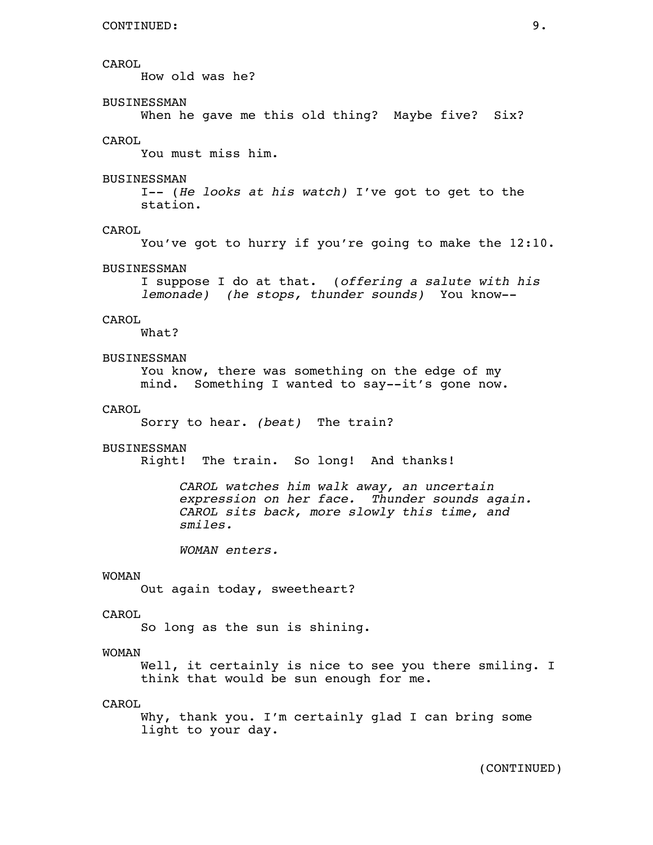How old was he?

# BUSINESSMAN

When he gave me this old thing? Maybe five? Six?

# CAROL

You must miss him.

#### BUSINESSMAN

 I-- (*He looks at his watch)* I've got to get to the station.

#### CAROL

You've got to hurry if you're going to make the 12:10.

#### BUSINESSMAN

I suppose I do at that. (*offering a salute with his lemonade) (he stops, thunder sounds)* You know--

#### CAROL

What?

# BUSINESSMAN

 You know, there was something on the edge of my mind. Something I wanted to say--it's gone now.

#### CAROL

Sorry to hear. *(beat)* The train?

#### BUSINESSMAN

Right! The train. So long! And thanks!

 *CAROL watches him walk away, an uncertain expression on her face. Thunder sounds again. CAROL sits back, more slowly this time, and smiles.*

*WOMAN enters.*

# WOMAN

Out again today, sweetheart?

# CAROL

So long as the sun is shining.

# WOMAN

Well, it certainly is nice to see you there smiling. I think that would be sun enough for me.

# CAROL

 Why, thank you. I'm certainly glad I can bring some light to your day.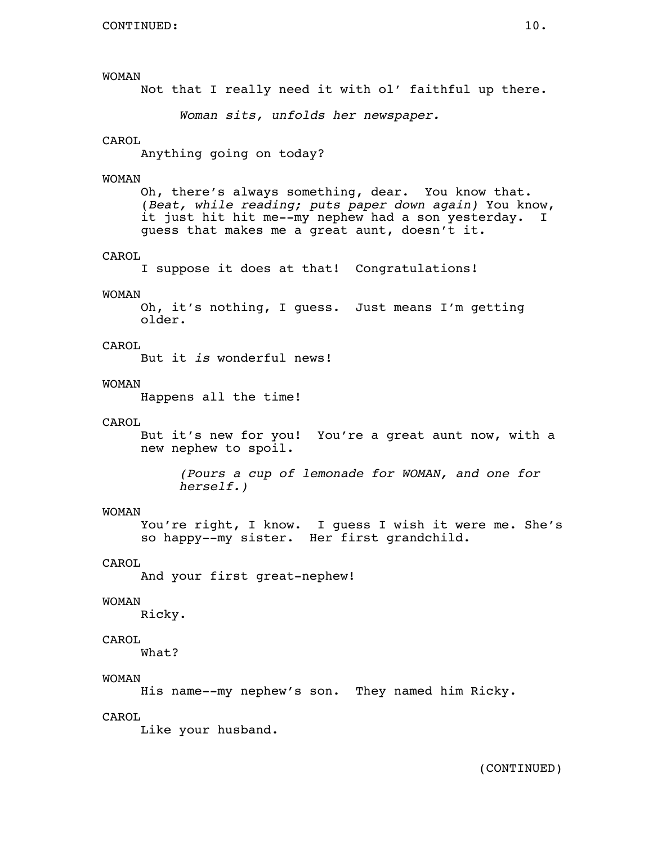```
 WOMAN 
     Not that I really need it with ol' faithful up there. 
           Woman sits, unfolds her newspaper. 
CAROL 
     Anything going on today? 
WOMAN 
     Oh, there's always something, dear. You know that. 
     (Beat, while reading; puts paper down again) You know, 
     it just hit hit me--my nephew had a son yesterday. I 
     guess that makes me a great aunt, doesn't it. 
CAROL 
     I suppose it does at that! Congratulations! 
WOMAN 
     Oh, it's nothing, I guess. Just means I'm getting 
     older. 
CAROL 
     But it is wonderful news! 
WOMAN 
     Happens all the time! 
CAROL 
     But it's new for you! You're a great aunt now, with a 
     new nephew to spoil. 
           (Pours a cup of lemonade for WOMAN, and one for 
          herself.) 
WOMAN 
     You're right, I know. I guess I wish it were me. She's 
     so happy--my sister. Her first grandchild. 
CAROL 
     And your first great-nephew! 
WOMAN 
     Ricky. 
CAROL 
     What? 
WOMAN 
     His name--my nephew's son. They named him Ricky. 
CAROL 
     Like your husband.
```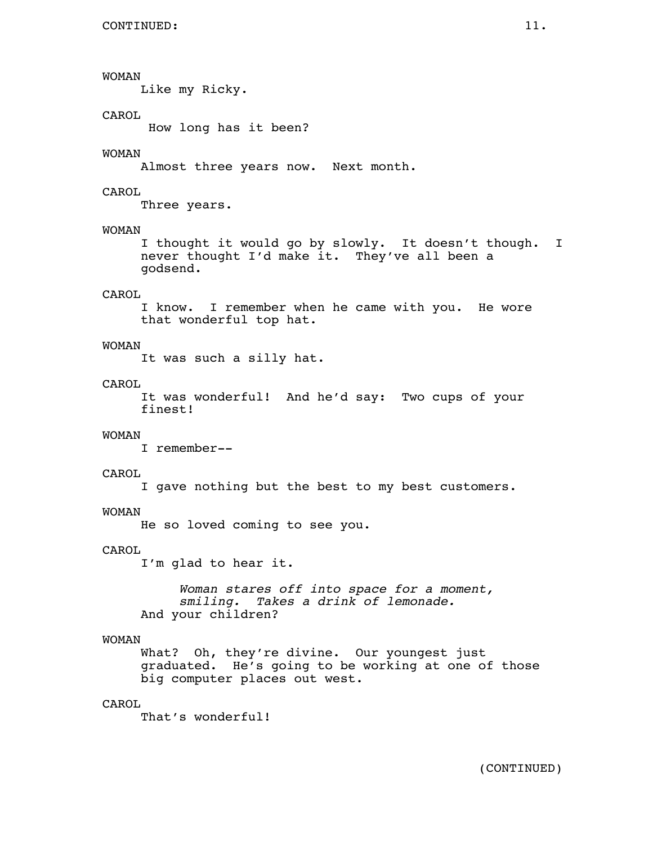# WOMAN

Like my Ricky.

# CAROL

How long has it been?

# WOMAN

Almost three years now. Next month.

# CAROL

Three years.

# WOMAN

 I thought it would go by slowly. It doesn't though. I never thought I'd make it. They've all been a godsend.

# CAROL

 I know. I remember when he came with you. He wore that wonderful top hat.

# WOMAN

It was such a silly hat.

# CAROL

 It was wonderful! And he'd say: Two cups of your finest!

# WOMAN

I remember--

# CAROL

I gave nothing but the best to my best customers.

# WOMAN

He so loved coming to see you.

# CAROL

I'm glad to hear it.

 *Woman stares off into space for a moment, smiling. Takes a drink of lemonade.* And your children?

# WOMAN

 What? Oh, they're divine. Our youngest just graduated. He's going to be working at one of those big computer places out west.

# CAROL

That's wonderful!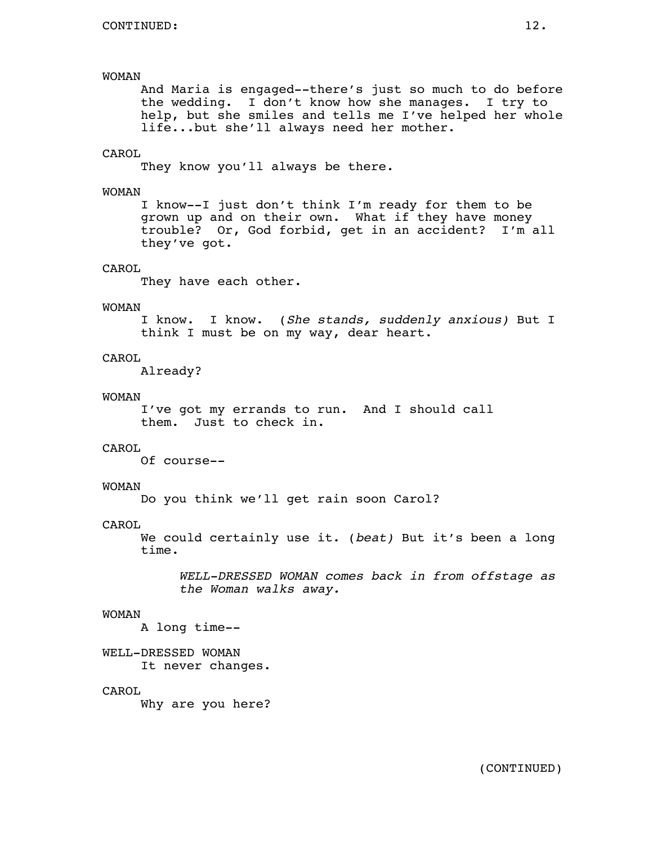# WOMAN

 And Maria is engaged--there's just so much to do before the wedding. I don't know how she manages. I try to help, but she smiles and tells me I've helped her whole life...but she'll always need her mother.

#### CAROL

They know you'll always be there.

#### WOMAN

 I know--I just don't think I'm ready for them to be grown up and on their own. What if they have money trouble? Or, God forbid, get in an accident? I'm all they've got.

# CAROL

They have each other.

# WOMAN

 I know. I know. (*She stands, suddenly anxious)* But I think I must be on my way, dear heart.

#### CAROL

Already?

#### WOMAN

 I've got my errands to run. And I should call them. Just to check in.

# CAROL

Of course--

### WOMAN

Do you think we'll get rain soon Carol?

#### CAROL

 We could certainly use it. (*beat)* But it's been a long time.

 *WELL-DRESSED WOMAN comes back in from offstage as the Woman walks away.*

#### WOMAN

A long time--

 WELL-DRESSED WOMAN It never changes.

#### CAROL

Why are you here?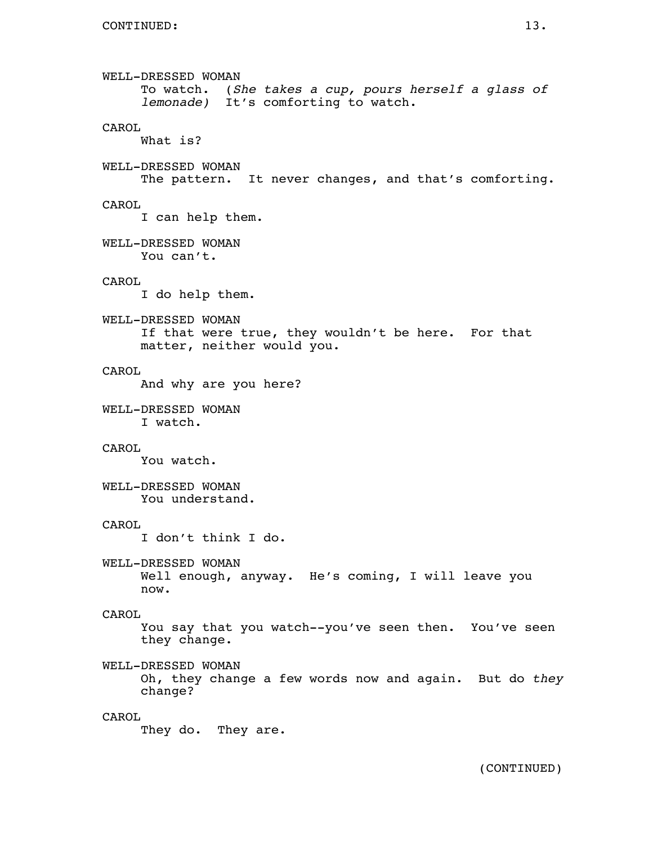```
 WELL-DRESSED WOMAN 
      To watch. (She takes a cup, pours herself a glass of lemonade) It's comforting to watch. 
CAROL 
     What is? 
WELL-DRESSED WOMAN 
      The pattern. It never changes, and that's comforting. 
CAROL 
      I can help them. 
WELL-DRESSED WOMAN 
     You can't. 
CAROL 
      I do help them. 
WELL-DRESSED WOMAN 
      If that were true, they wouldn't be here. For that 
     matter, neither would you. 
CAROL 
     And why are you here? 
WELL-DRESSED WOMAN 
      I watch. 
CAROL 
     You watch. 
WELL-DRESSED WOMAN 
     You understand. 
CAROL 
      I don't think I do. 
WELL-DRESSED WOMAN 
     Well enough, anyway. He's coming, I will leave you 
     now. 
CAROL 
      You say that you watch--you've seen then. You've seen 
      they change. 
WELL-DRESSED WOMAN 
     Oh, they change a few words now and again. But do they change? 
CAROL 
      They do. They are.
```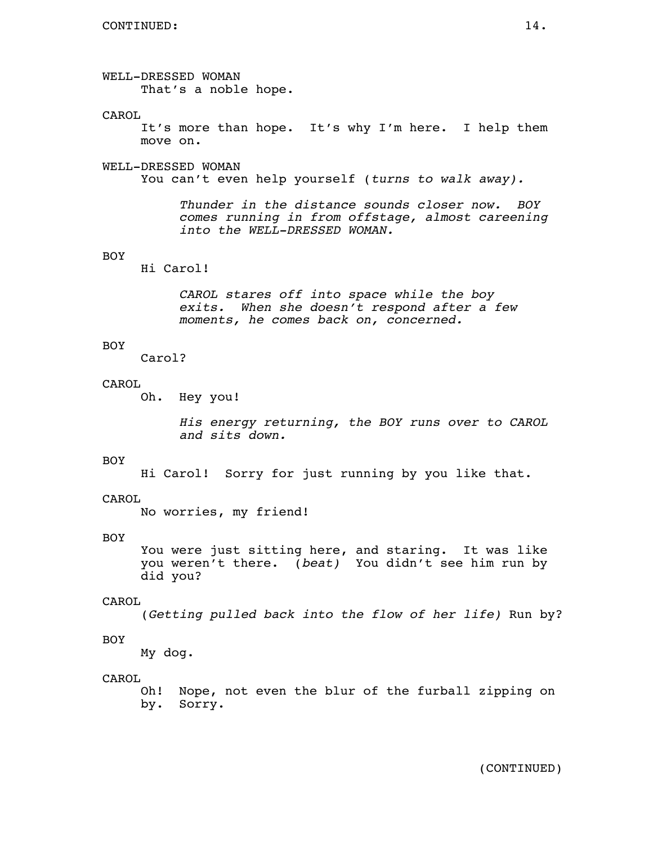WELL-DRESSED WOMAN That's a noble hope.

#### CAROL

 It's more than hope. It's why I'm here. I help them move on.

#### WELL-DRESSED WOMAN

You can't even help yourself (*turns to walk away).*

*Thunder in the distance sounds closer now. BOY comes running in from offstage, almost careening into the WELL-DRESSED WOMAN.*

#### BOY

Hi Carol!

*CAROL stares off into space while the boy exits. When she doesn't respond after a few moments, he comes back on, concerned.*

# BOY

Carol?

# CAROL

Oh. Hey you!

*His energy returning, the BOY runs over to CAROL and sits down.*

#### BOY

Hi Carol! Sorry for just running by you like that.

### CAROL

No worries, my friend!

#### BOY

 You were just sitting here, and staring. It was like you weren't there. (*beat)* You didn't see him run by did you?

#### CAROL

(*Getting pulled back into the flow of her life)* Run by?

#### BOY

My dog.

#### CAROL

 Oh! Nope, not even the blur of the furball zipping on by. Sorry.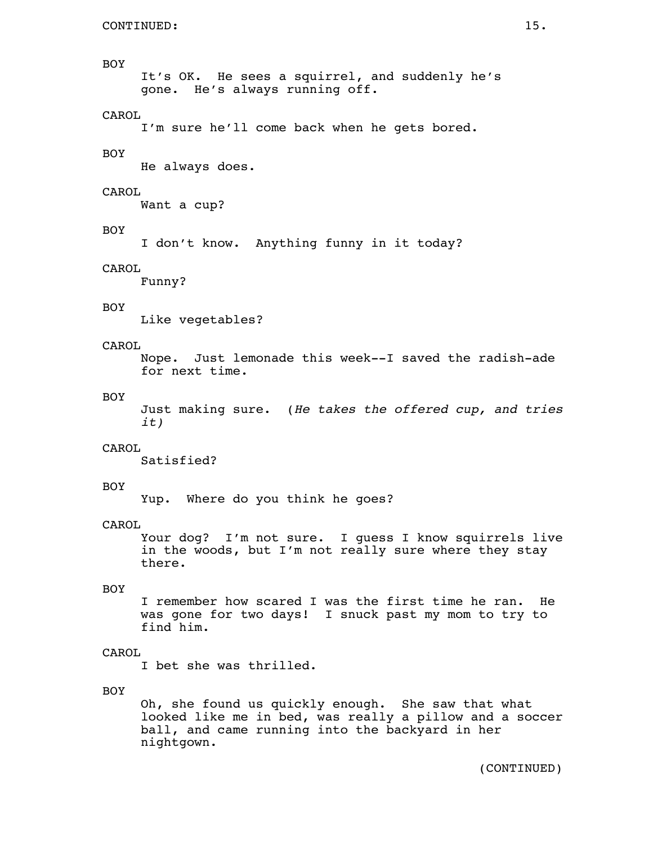### BOY

 It's OK. He sees a squirrel, and suddenly he's gone. He's always running off.

# CAROL

I'm sure he'll come back when he gets bored.

#### BOY

He always does.

# CAROL

Want a cup?

# BOY

I don't know. Anything funny in it today?

#### CAROL

Funny?

# BOY

Like vegetables?

# CAROL

 Nope. Just lemonade this week--I saved the radish-ade for next time.

#### BOY

Just making sure. (*He takes the offered cup, and tries it)*

# CAROL

Satisfied?

# BOY

Yup. Where do you think he goes?

# CAROL

 Your dog? I'm not sure. I guess I know squirrels live in the woods, but I'm not really sure where they stay there.

# BOY

 I remember how scared I was the first time he ran. He was gone for two days! I snuck past my mom to try to find him.

#### CAROL

I bet she was thrilled.

# BOY

 Oh, she found us quickly enough. She saw that what looked like me in bed, was really a pillow and a soccer ball, and came running into the backyard in her nightgown.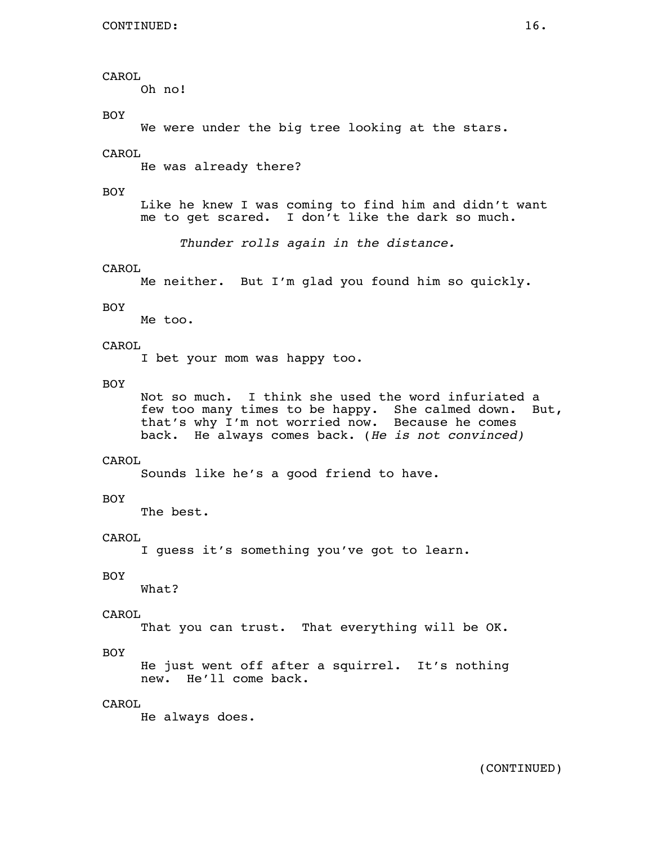Oh no!

BOY

We were under the big tree looking at the stars.

CAROL

He was already there?

BOY

 Like he knew I was coming to find him and didn't want me to get scared. I don't like the dark so much.

*Thunder rolls again in the distance.*

CAROL

Me neither. But I'm glad you found him so quickly.

# BOY

Me too.

# CAROL

I bet your mom was happy too.

# BOY

 Not so much. I think she used the word infuriated a few too many times to be happy. She calmed down. But, that's why I'm not worried now. Because he comes back. He always comes back. (*He is not convinced)*

# CAROL

Sounds like he's a good friend to have.

# BOY

The best.

# CAROL

I guess it's something you've got to learn.

# BOY

What?

# CAROL

That you can trust. That everything will be OK.

# BOY

 He just went off after a squirrel. It's nothing new. He'll come back.

# CAROL

He always does.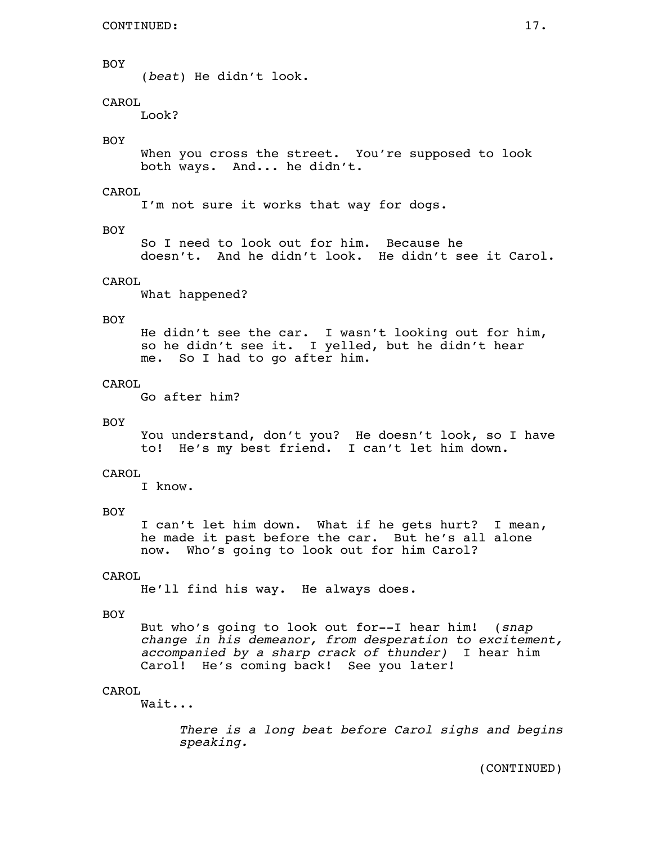# BOY

(*beat*) He didn't look.

# CAROL

Look?

# BOY

 When you cross the street. You're supposed to look both ways. And... he didn't.

# CAROL

I'm not sure it works that way for dogs.

# BOY

 So I need to look out for him. Because he doesn't. And he didn't look. He didn't see it Carol.

# CAROL

What happened?

### BOY

 He didn't see the car. I wasn't looking out for him, so he didn't see it. I yelled, but he didn't hear me. So I had to go after him.

# CAROL

Go after him?

#### BOY

 You understand, don't you? He doesn't look, so I have to! He's my best friend. I can't let him down.

### CAROL

I know.

#### BOY

 I can't let him down. What if he gets hurt? I mean, he made it past before the car. But he's all alone now. Who's going to look out for him Carol?

#### CAROL

He'll find his way. He always does.

# BOY

 But who's going to look out for--I hear him! (*snap change in his demeanor, from desperation to excitement, accompanied by a sharp crack of thunder)* I hear him Carol! He's coming back! See you later!

# CAROL

Wait...

*There is a long beat before Carol sighs and begins speaking.*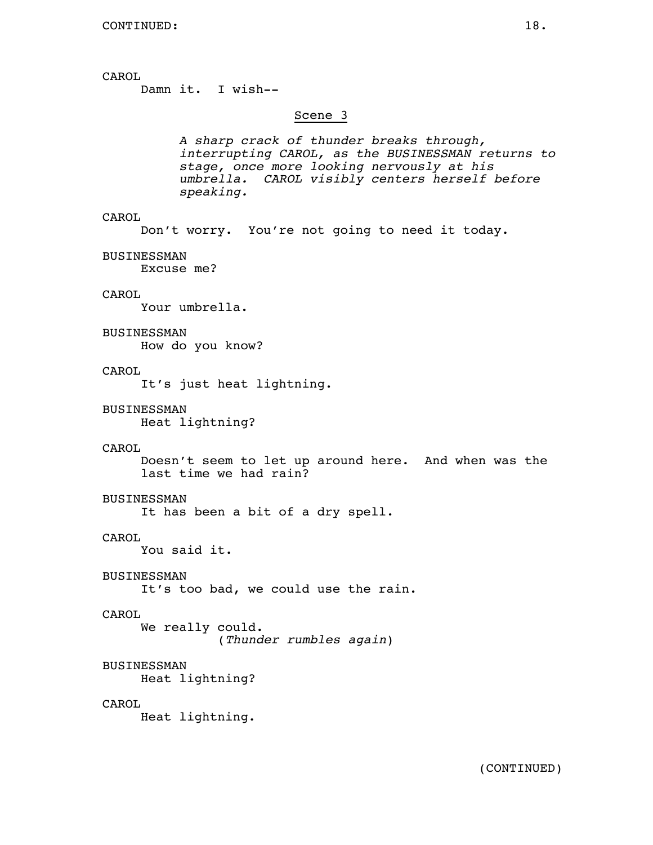Damn it. I wish--

#### Scene 3

A sharp crack of thunder breaks through,<br>interrupting CAROL, as the BUSINESSMAN returns to<br>stage, once more looking nervously at his<br>umbrella. CAROL visibly centers herself before<br>speaking.

# CAROL

Don't worry. You're not going to need it today.

BUSINESSMAN

Excuse me?

# CAROL

Your umbrella.

#### BUSINESSMAN

How do you know?

#### CAROL

It's just heat lightning.

#### BUSINESSMAN

Heat lightning?

#### CAROL

 Doesn't seem to let up around here. And when was the last time we had rain?

# BUSINESSMAN

It has been a bit of a dry spell.

# CAROL

You said it.

#### BUSINESSMAN

It's too bad, we could use the rain.

# CAROL

 We really could. (*Thunder rumbles again*)

# BUSINESSMAN

Heat lightning?

#### CAROL

Heat lightning.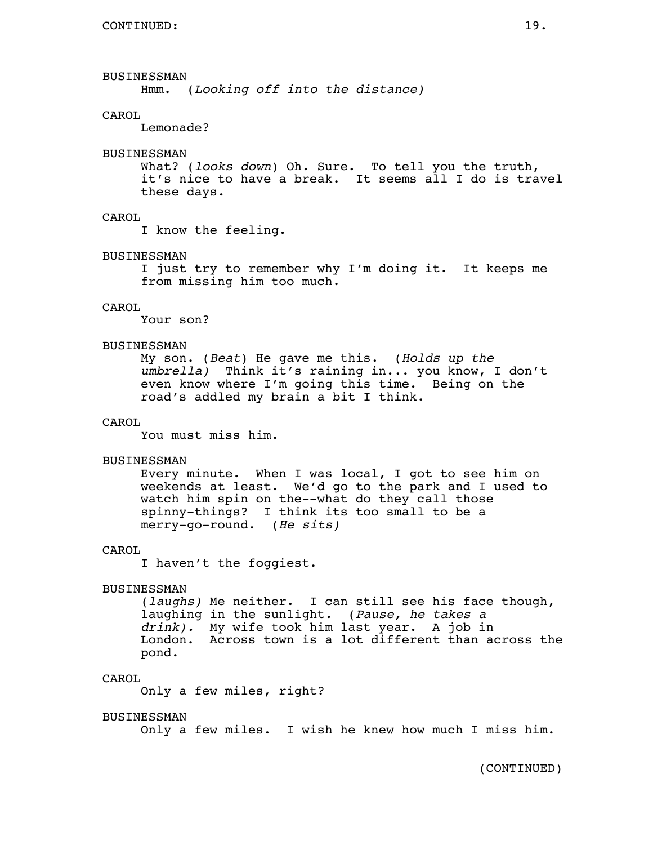# BUSINESSMAN

Hmm. (*Looking off into the distance)*

#### CAROL

Lemonade?

#### BUSINESSMAN

 What? (*looks down*) Oh. Sure. To tell you the truth, it's nice to have a break. It seems all I do is travel these days.

# CAROL

I know the feeling.

#### BUSINESSMAN

 I just try to remember why I'm doing it. It keeps me from missing him too much.

# CAROL

Your son?

#### BUSINESSMAN

 My son. (*Beat*) He gave me this. (*Holds up the umbrella)* Think it's raining in... you know, I don't even know where I'm going this time. Being on the road's addled my brain a bit I think.

# CAROL

You must miss him.

### BUSINESSMAN

 Every minute. When I was local, I got to see him on weekends at least. We'd go to the park and I used to watch him spin on the--what do they call those spinny-things? I think its too small to be a merry-go-round. (*He sits)*

# CAROL

I haven't the foggiest.

#### BUSINESSMAN

 (*laughs)* Me neither. I can still see his face though, laughing in the sunlight. (*Pause, he takes a drink).* My wife took him last year. A job in London. Across town is a lot different than across the pond.

#### CAROL

Only a few miles, right?

#### BUSINESSMAN

Only a few miles. I wish he knew how much I miss him.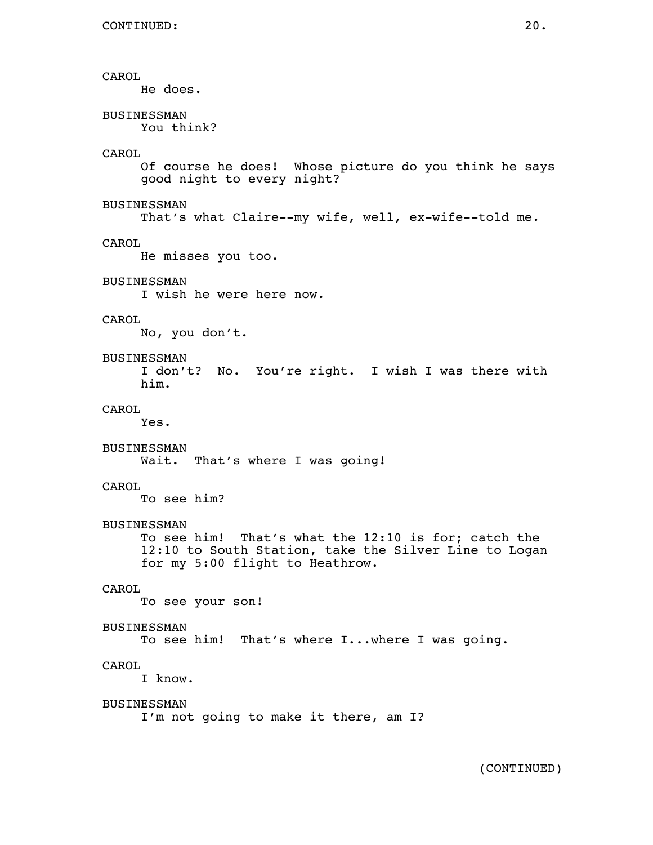He does.

# BUSINESSMAN

You think?

# CAROL

 Of course he does! Whose picture do you think he says good night to every night?

#### BUSINESSMAN

That's what Claire--my wife, well, ex-wife--told me.

#### CAROL

He misses you too.

# BUSINESSMAN

I wish he were here now.

# CAROL

No, you don't.

#### BUSINESSMAN

 I don't? No. You're right. I wish I was there with him.

#### CAROL

Yes.

# BUSINESSMAN

Wait. That's where I was going!

# CAROL

To see him?

#### BUSINESSMAN

 To see him! That's what the 12:10 is for; catch the 12:10 to South Station, take the Silver Line to Logan for my 5:00 flight to Heathrow.

# CAROL

To see your son!

# BUSINESSMAN

To see him! That's where I...where I was going.

# CAROL

I know.

# BUSINESSMAN

I'm not going to make it there, am I?

(CONTINUED)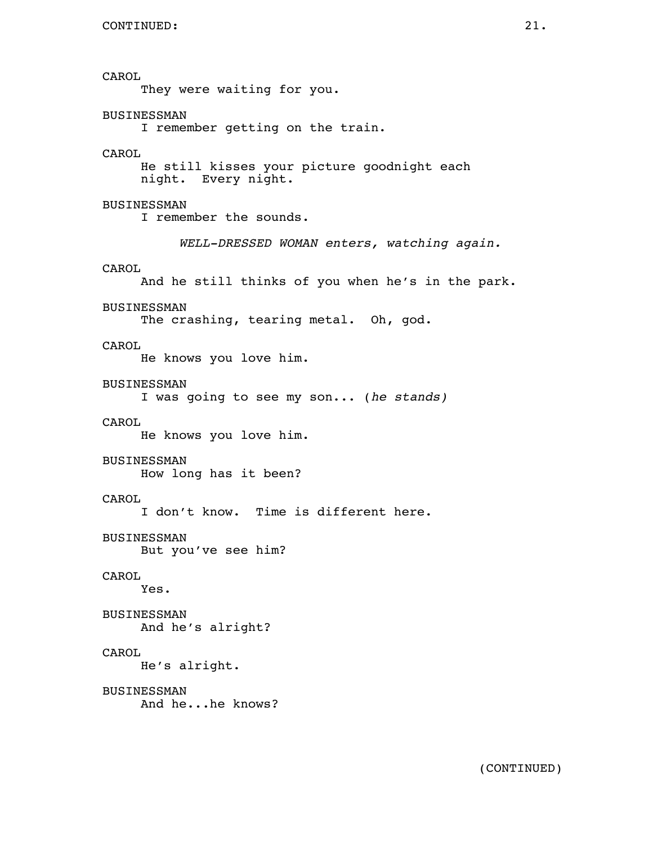CAROL They were waiting for you. BUSINESSMAN I remember getting on the train. CAROL He still kisses your picture goodnight each night. Every night. BUSINESSMAN I remember the sounds. *WELL-DRESSED WOMAN enters, watching again.* CAROL And he still thinks of you when he's in the park. BUSINESSMAN The crashing, tearing metal. Oh, god. CAROL He knows you love him. BUSINESSMAN I was going to see my son... (*he stands)* CAROL He knows you love him. BUSINESSMAN How long has it been? CAROL I don't know. Time is different here. BUSINESSMAN But you've see him? CAROL Yes. BUSINESSMAN And he's alright? CAROL He's alright. BUSINESSMAN And he...he knows?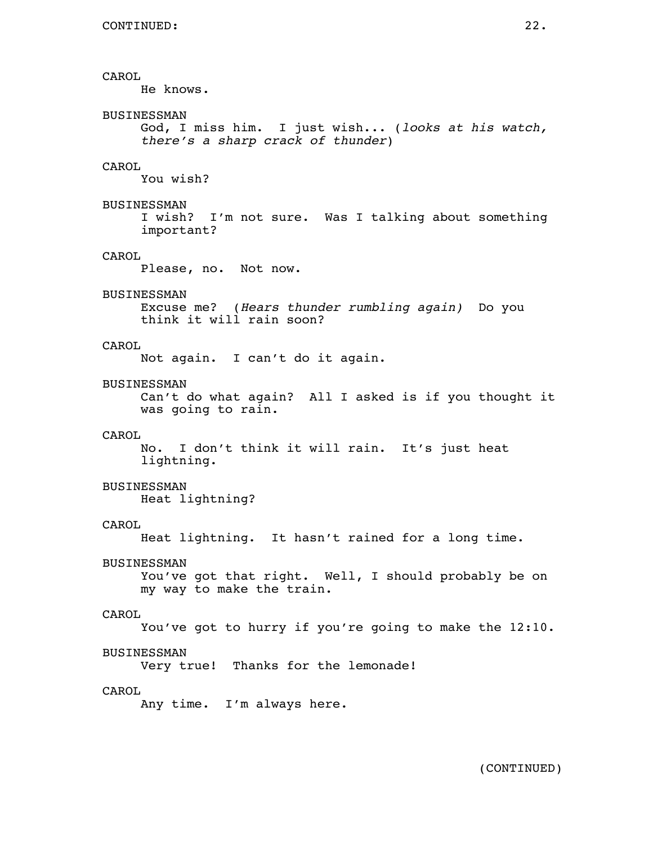# CAROL He knows. BUSINESSMAN God, I miss him. I just wish... (*looks at his watch, there's a sharp crack of thunder*) CAROL You wish? BUSINESSMAN I wish? I'm not sure. Was I talking about something important? CAROL Please, no. Not now. BUSINESSMAN Excuse me? (*Hears thunder rumbling again)* Do you think it will rain soon? CAROL Not again. I can't do it again. BUSINESSMAN Can't do what again? All I asked is if you thought it was going to rain. CAROL No. I don't think it will rain. It's just heat lightning. BUSINESSMAN Heat lightning? CAROL Heat lightning. It hasn't rained for a long time. BUSINESSMAN You've got that right. Well, I should probably be on my way to make the train. CAROL You've got to hurry if you're going to make the 12:10. BUSINESSMAN Very true! Thanks for the lemonade! CAROL Any time. I'm always here.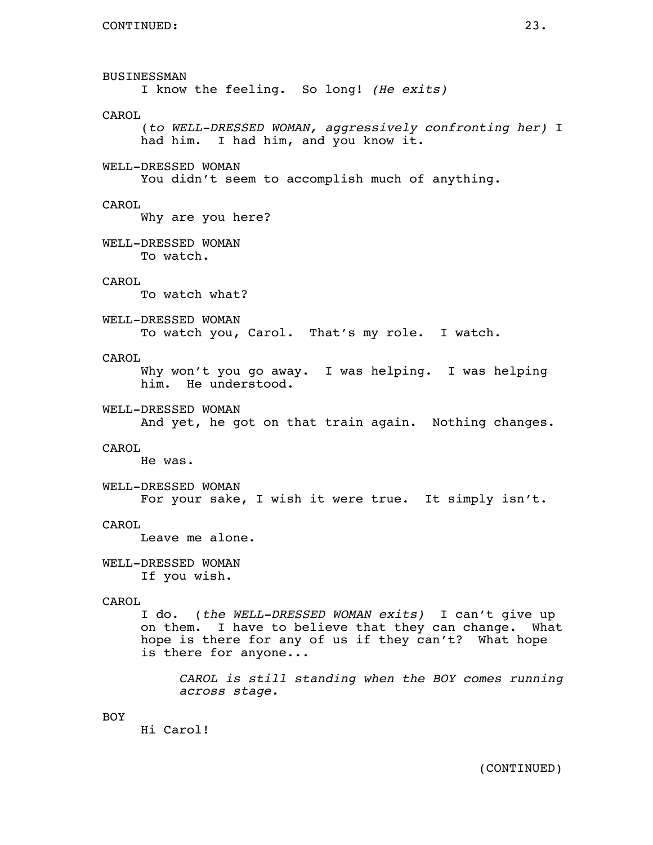BUSINESSMAN I know the feeling. So long! *(He exits)* CAROL (*to WELL-DRESSED WOMAN, aggressively confronting her)* I had him. I had him, and you know it. WELL-DRESSED WOMAN You didn't seem to accomplish much of anything. CAROL Why are you here? WELL-DRESSED WOMAN To watch. CAROL To watch what? WELL-DRESSED WOMAN To watch you, Carol. That's my role. I watch. CAROL Why won't you go away. I was helping. I was helping him. He understood. WELL-DRESSED WOMAN And yet, he got on that train again. Nothing changes. CAROL He was. WELL-DRESSED WOMAN For your sake, I wish it were true. It simply isn't. CAROL Leave me alone. WELL-DRESSED WOMAN If you wish. CAROL I do. (*the WELL-DRESSED WOMAN exits)* I can't give up on them. I have to believe that they can change. What hope is there for any of us if they can't? What hope is there for anyone... *CAROL is still standing when the BOY comes running across stage.* BOY Hi Carol!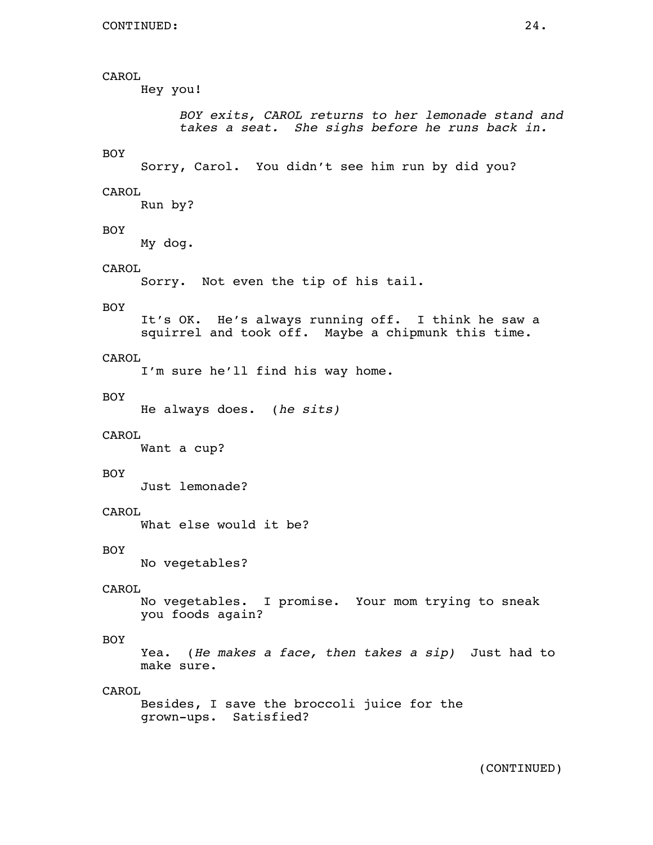Hey you!

*BOY exits, CAROL returns to her lemonade stand and takes a seat. She sighs before he runs back in.*

# BOY

Sorry, Carol. You didn't see him run by did you?

#### CAROL

Run by?

# BOY

My dog.

### CAROL

Sorry. Not even the tip of his tail.

#### BOY

 It's OK. He's always running off. I think he saw a squirrel and took off. Maybe a chipmunk this time.

# CAROL

I'm sure he'll find his way home.

#### BOY

He always does. (*he sits)*

#### CAROL

Want a cup?

### BOY

Just lemonade?

# CAROL

What else would it be?

#### BOY

No vegetables?

# CAROL

 No vegetables. I promise. Your mom trying to sneak you foods again?

# BOY

 Yea. (*He makes a face, then takes a sip)* Just had to make sure.

# CAROL

 Besides, I save the broccoli juice for the grown-ups. Satisfied?